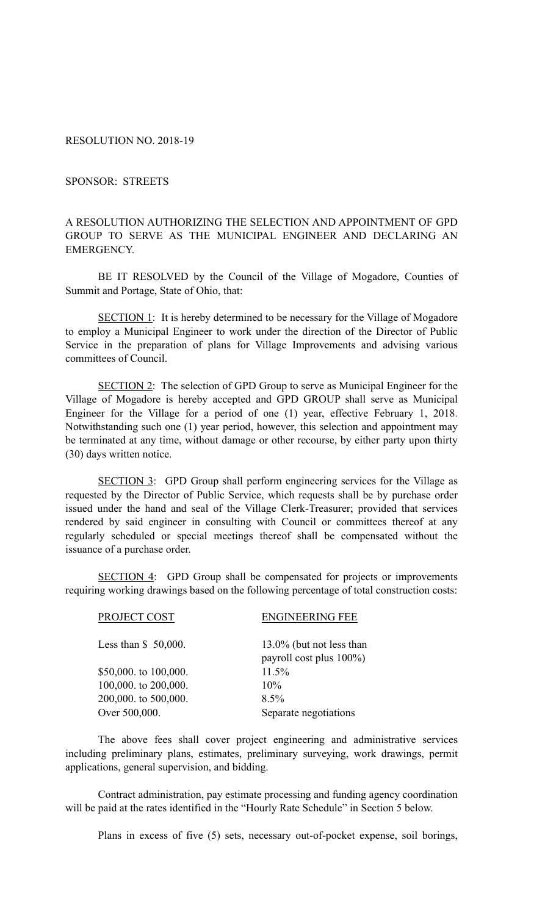RESOLUTION NO. 2018-19

SPONSOR: STREETS

## A RESOLUTION AUTHORIZING THE SELECTION AND APPOINTMENT OF GPD GROUP TO SERVE AS THE MUNICIPAL ENGINEER AND DECLARING AN EMERGENCY.

BE IT RESOLVED by the Council of the Village of Mogadore, Counties of Summit and Portage, State of Ohio, that:

SECTION 1: It is hereby determined to be necessary for the Village of Mogadore to employ a Municipal Engineer to work under the direction of the Director of Public Service in the preparation of plans for Village Improvements and advising various committees of Council.

SECTION 2: The selection of GPD Group to serve as Municipal Engineer for the Village of Mogadore is hereby accepted and GPD GROUP shall serve as Municipal Engineer for the Village for a period of one (1) year, effective February 1, 2018. Notwithstanding such one (1) year period, however, this selection and appointment may be terminated at any time, without damage or other recourse, by either party upon thirty (30) days written notice.

SECTION 3: GPD Group shall perform engineering services for the Village as requested by the Director of Public Service, which requests shall be by purchase order issued under the hand and seal of the Village Clerk-Treasurer; provided that services rendered by said engineer in consulting with Council or committees thereof at any regularly scheduled or special meetings thereof shall be compensated without the issuance of a purchase order.

SECTION 4: GPD Group shall be compensated for projects or improvements requiring working drawings based on the following percentage of total construction costs:

| PROJECT COST          | <b>ENGINEERING FEE</b>                              |
|-----------------------|-----------------------------------------------------|
| Less than $$50,000$ . | 13.0% (but not less than<br>payroll cost plus 100%) |
| \$50,000. to 100,000. | 11.5%                                               |
| 100,000. to 200,000.  | $10\%$                                              |
| 200,000. to 500,000.  | 8.5%                                                |
| Over 500,000.         | Separate negotiations                               |
|                       |                                                     |

The above fees shall cover project engineering and administrative services including preliminary plans, estimates, preliminary surveying, work drawings, permit applications, general supervision, and bidding.

 Contract administration, pay estimate processing and funding agency coordination will be paid at the rates identified in the "Hourly Rate Schedule" in Section 5 below.

Plans in excess of five (5) sets, necessary out-of-pocket expense, soil borings,